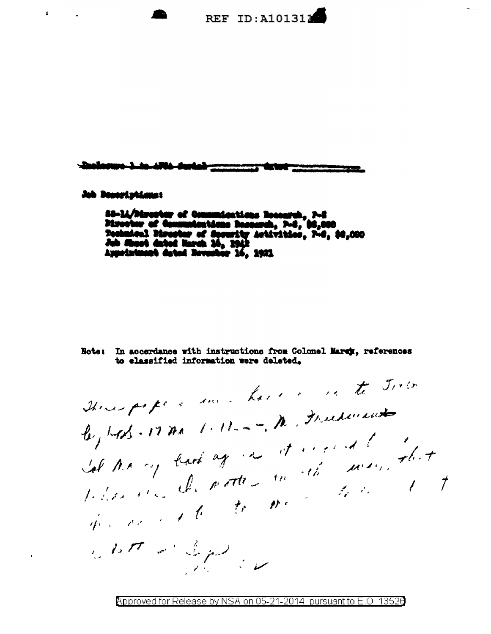

## Job Boonstotisms

 $\mathbf{L}^{\text{max}}$  and  $\mathbf{L}^{\text{max}}$ 

 $\bar{\mathbf{r}}$ 

SS-14/Director of Communications Research, P-2<br>Director of Communications Research, P-2, 00,000<br>Technical Marator of Security Artivities, P-2, 00,000<br>Jub Shoot dated Harch 16, 1942<br>Appointment dated November 16, 1951

Note: In accordance with instructions from Colonel Marey, references to classified information were deleted.

There papers and have a vate Joseph Let the cop back again it account to a sidence de patter la dé marie that the most of the most them be to the  $2.27 < \frac{1}{2} \mu$ 

Approved for Release by NSA on 05-21-2014 pursuant to E.O. 13526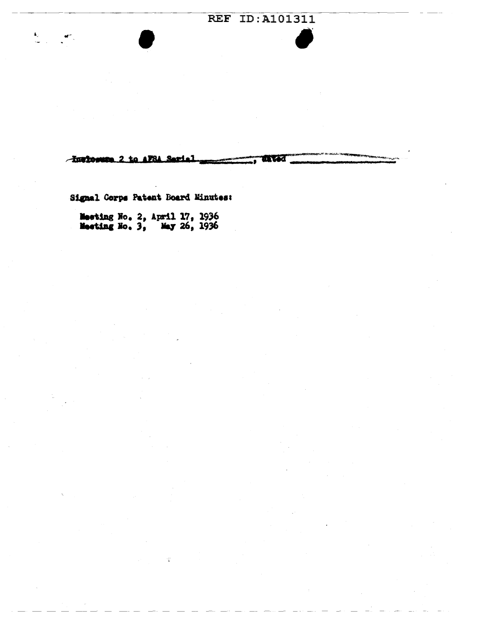## **REF ID: A101311**

-Increase 2 to AFSA Serial aftat T

Signal Corps Patent Board Minutes:

 $\frac{4\pi}{\sqrt{2}}\left(1-\frac{1}{2}\frac{d^2\theta}{d\theta}\right)$ 

Meeting No. 2, April 17, 1936<br>Meeting No. 3, May 26, 1936